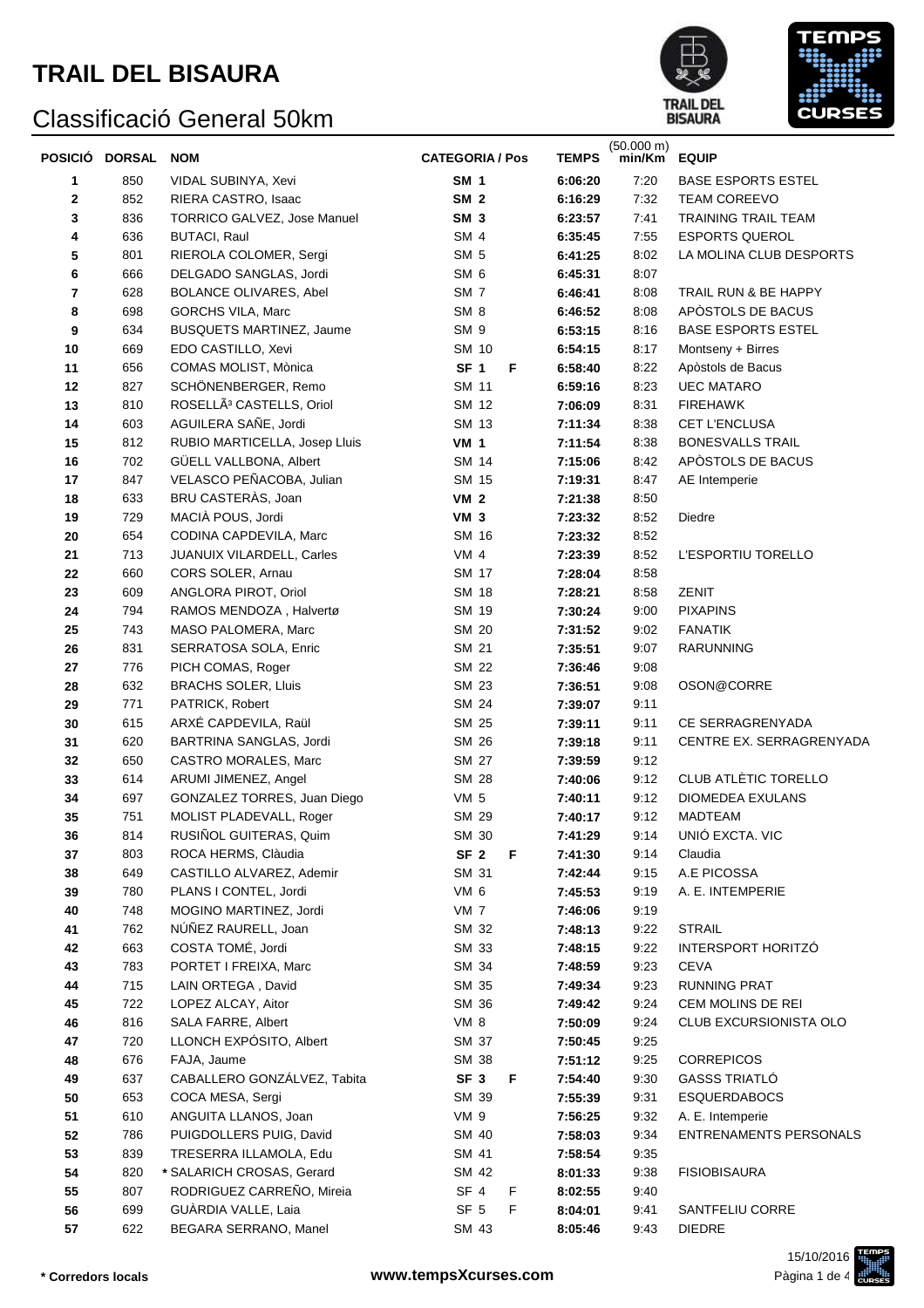



|    | POSICIÓ DORSAL | <b>NOM</b>                           | <b>CATEGORIA / Pos</b> | <b>TEMPS</b> | $(50.000 \text{ m})$<br>min/Km | <b>EQUIP</b>                  |
|----|----------------|--------------------------------------|------------------------|--------------|--------------------------------|-------------------------------|
| 1  | 850            | VIDAL SUBINYA, Xevi                  | <b>SM 1</b>            | 6:06:20      | 7:20                           | <b>BASE ESPORTS ESTEL</b>     |
| 2  | 852            | RIERA CASTRO, Isaac                  | SM <sub>2</sub>        | 6:16:29      | 7:32                           | <b>TEAM COREEVO</b>           |
| 3  | 836            | <b>TORRICO GALVEZ, Jose Manuel</b>   | SM <sub>3</sub>        | 6:23:57      | 7:41                           | TRAINING TRAIL TEAM           |
| 4  | 636            | <b>BUTACI, Raul</b>                  | SM <sub>4</sub>        | 6:35:45      | 7:55                           | <b>ESPORTS QUEROL</b>         |
| 5  | 801            | RIEROLA COLOMER, Sergi               | SM <sub>5</sub>        | 6:41:25      | 8:02                           | LA MOLINA CLUB DESPORTS       |
| 6  | 666            | DELGADO SANGLAS, Jordi               | SM <sub>6</sub>        | 6:45:31      | 8:07                           |                               |
| 7  | 628            | BOLANCE OLIVARES, Abel               | SM <sub>7</sub>        | 6:46:41      | 8:08                           | TRAIL RUN & BE HAPPY          |
| 8  | 698            | <b>GORCHS VILA, Marc</b>             | SM <sub>8</sub>        | 6:46:52      | 8:08                           | APÒSTOLS DE BACUS             |
| 9  | 634            | <b>BUSQUETS MARTINEZ, Jaume</b>      | SM 9                   | 6:53:15      | 8:16                           | <b>BASE ESPORTS ESTEL</b>     |
| 10 | 669            | EDO CASTILLO, Xevi                   | SM 10                  | 6:54:15      | 8:17                           | Montseny + Birres             |
| 11 | 656            | COMAS MOLIST, Mònica                 | SF <sub>1</sub><br>F   | 6:58:40      | 8:22                           | Apòstols de Bacus             |
| 12 | 827            | SCHÖNENBERGER, Remo                  | SM 11                  | 6:59:16      | 8:23                           | <b>UEC MATARO</b>             |
| 13 | 810            | ROSELLÃ <sup>3</sup> CASTELLS, Oriol | SM 12                  | 7:06:09      | 8:31                           | <b>FIREHAWK</b>               |
| 14 | 603            | AGUILERA SAÑE, Jordi                 | SM 13                  | 7:11:34      | 8:38                           | CET L'ENCLUSA                 |
| 15 | 812            | RUBIO MARTICELLA, Josep Lluis        | <b>VM 1</b>            | 7:11:54      | 8:38                           | <b>BONESVALLS TRAIL</b>       |
| 16 | 702            | GÜELL VALLBONA, Albert               | <b>SM 14</b>           | 7:15:06      | 8:42                           | APÒSTOLS DE BACUS             |
| 17 | 847            | VELASCO PEÑACOBA, Julian             | SM 15                  | 7:19:31      | 8:47                           | AE Intemperie                 |
| 18 | 633            | BRU CASTERÀS, Joan                   | <b>VM 2</b>            | 7:21:38      | 8:50                           |                               |
| 19 | 729            | MACIÀ POUS, Jordi                    | VM <sub>3</sub>        | 7:23:32      | 8:52                           | Diedre                        |
| 20 | 654            | CODINA CAPDEVILA, Marc               | SM 16                  | 7:23:32      | 8:52                           |                               |
| 21 | 713            | JUANUIX VILARDELL, Carles            | VM <sub>4</sub>        | 7:23:39      | 8:52                           | L'ESPORTIU TORELLO            |
| 22 | 660            | CORS SOLER, Arnau                    | SM 17                  | 7:28:04      | 8:58                           |                               |
| 23 | 609            | ANGLORA PIROT, Oriol                 | <b>SM 18</b>           | 7:28:21      | 8:58                           | ZENIT                         |
| 24 | 794            | RAMOS MENDOZA, Halvertø              | SM 19                  | 7:30:24      | 9:00                           | <b>PIXAPINS</b>               |
| 25 | 743            | MASO PALOMERA, Marc                  | SM 20                  | 7:31:52      | 9:02                           | <b>FANATIK</b>                |
| 26 | 831            | SERRATOSA SOLA, Enric                | SM 21                  | 7:35:51      | 9:07                           | RARUNNING                     |
| 27 | 776            | PICH COMAS, Roger                    | <b>SM 22</b>           | 7:36:46      | 9:08                           |                               |
| 28 | 632            | <b>BRACHS SOLER, Lluis</b>           | SM 23                  | 7:36:51      | 9:08                           | OSON@CORRE                    |
| 29 | 771            | PATRICK, Robert                      | SM 24                  | 7:39:07      | 9:11                           |                               |
| 30 | 615            | ARXÉ CAPDEVILA, Raül                 | SM 25                  | 7:39:11      | 9:11                           | CE SERRAGRENYADA              |
| 31 | 620            | BARTRINA SANGLAS, Jordi              | SM 26                  | 7:39:18      | 9:11                           | CENTRE EX. SERRAGRENYADA      |
| 32 | 650            | CASTRO MORALES, Marc                 | SM 27                  | 7:39:59      | 9:12                           |                               |
| 33 | 614            | ARUMI JIMENEZ, Angel                 | SM 28                  | 7:40:06      | 9:12                           | CLUB ATLÈTIC TORELLO          |
| 34 | 697            | GONZALEZ TORRES, Juan Diego          | VM <sub>5</sub>        | 7:40:11      | 9:12                           | DIOMEDEA EXULANS              |
| 35 | 751            | MOLIST PLADEVALL, Roger              | SM 29                  | 7:40:17      | 9:12                           | MADTEAM                       |
| 36 | 814            | RUSIÑOL GUITERAS, Quim               | SM 30                  | 7:41:29      | 9:14                           | UNIÓ EXCTA. VIC               |
| 37 | 803            | ROCA HERMS, Clàudia                  | SF <sub>2</sub><br>F   | 7:41:30      | 9:14                           | Claudia                       |
| 38 | 649            | CASTILLO ALVAREZ, Ademir             | SM 31                  | 7:42:44      | 9:15                           | A.E PICOSSA                   |
| 39 | 780            | PLANS I CONTEL, Jordi                | VM 6                   | 7:45:53      | 9:19                           | A. E. INTEMPERIE              |
| 40 | 748            | MOGINO MARTINEZ, Jordi               | VM <sub>7</sub>        | 7:46:06      | 9:19                           |                               |
| 41 | 762            | NÚÑEZ RAURELL, Joan                  | SM 32                  | 7:48:13      | 9:22                           | <b>STRAIL</b>                 |
| 42 | 663            | COSTA TOMÉ, Jordi                    | SM 33                  | 7:48:15      | 9:22                           | INTERSPORT HORITZÓ            |
| 43 | 783            | PORTET I FREIXA, Marc                | SM 34                  | 7:48:59      | 9:23                           | <b>CEVA</b>                   |
| 44 | 715            | LAIN ORTEGA, David                   | SM 35                  | 7:49:34      | 9:23                           | <b>RUNNING PRAT</b>           |
| 45 | 722            | LOPEZ ALCAY, Aitor                   | SM 36                  | 7:49:42      | 9:24                           | CEM MOLINS DE REI             |
| 46 | 816            | SALA FARRE, Albert                   | VM 8                   | 7:50:09      | 9:24                           | CLUB EXCURSIONISTA OLO        |
| 47 | 720            | LLONCH EXPÓSITO, Albert              | SM 37                  | 7:50:45      | 9:25                           |                               |
| 48 | 676            | FAJA, Jaume                          | SM 38                  | 7:51:12      | 9:25                           | <b>CORREPICOS</b>             |
| 49 | 637            | CABALLERO GONZÁLVEZ, Tabita          | SF <sub>3</sub><br>F   | 7:54:40      | 9:30                           | <b>GASSS TRIATLÓ</b>          |
| 50 | 653            | COCA MESA, Sergi                     | SM 39                  | 7:55:39      | 9:31                           | <b>ESQUERDABOCS</b>           |
| 51 | 610            | ANGUITA LLANOS, Joan                 | VM 9                   | 7:56:25      | 9:32                           | A. E. Intemperie              |
| 52 | 786            | PUIGDOLLERS PUIG, David              | SM 40                  | 7:58:03      | 9:34                           | <b>ENTRENAMENTS PERSONALS</b> |
| 53 | 839            | TRESERRA ILLAMOLA, Edu               | SM 41                  | 7:58:54      | 9:35                           |                               |
| 54 | 820            | * SALARICH CROSAS, Gerard            | SM 42                  | 8:01:33      | 9:38                           | <b>FISIOBISAURA</b>           |
| 55 | 807            | RODRIGUEZ CARREÑO, Mireia            | SF <sub>4</sub><br>F   | 8:02:55      | 9:40                           |                               |
| 56 | 699            | GUÀRDIA VALLE, Laia                  | SF <sub>5</sub><br>F   | 8:04:01      | 9:41                           | SANTFELIU CORRE               |
| 57 | 622            | BEGARA SERRANO, Manel                | SM 43                  | 8:05:46      | 9:43                           | <b>DIEDRE</b>                 |

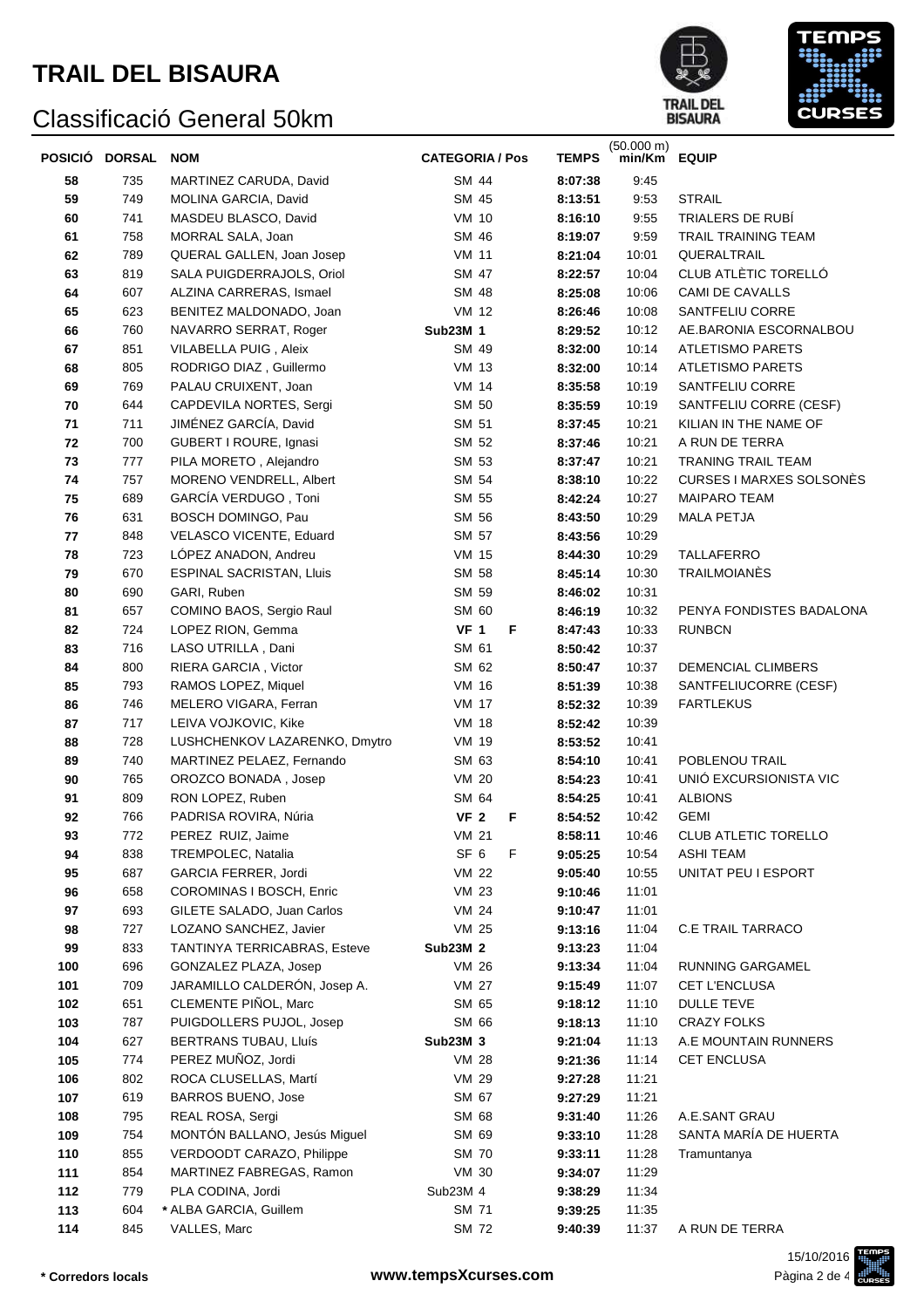



|            | POSICIÓ DORSAL NOM |                                                          | <b>CATEGORIA / Pos</b>    | <b>TEMPS</b>       | $(50.000 \text{ m})$<br>min/Km EQUIP |                                         |
|------------|--------------------|----------------------------------------------------------|---------------------------|--------------------|--------------------------------------|-----------------------------------------|
| 58         | 735                | MARTINEZ CARUDA, David                                   | SM 44                     | 8:07:38            | 9:45                                 |                                         |
| 59         | 749                | MOLINA GARCIA, David                                     | SM 45                     | 8:13:51            | 9:53                                 | <b>STRAIL</b>                           |
| 60         | 741                | MASDEU BLASCO, David                                     | <b>VM 10</b>              | 8:16:10            | 9:55                                 | TRIALERS DE RUBÍ                        |
| 61         | 758                | MORRAL SALA, Joan                                        | SM 46                     | 8:19:07            | 9:59                                 | <b>TRAIL TRAINING TEAM</b>              |
| 62         | 789                | QUERAL GALLEN, Joan Josep                                | <b>VM 11</b>              | 8:21:04            | 10:01                                | QUERALTRAIL                             |
| 63         | 819                | SALA PUIGDERRAJOLS, Oriol                                | SM 47                     | 8:22:57            | 10:04                                | CLUB ATLÈTIC TORELLÓ                    |
| 64         | 607                | ALZINA CARRERAS, Ismael                                  | SM 48                     | 8:25:08            | 10:06                                | CAMI DE CAVALLS                         |
| 65         | 623                | BENITEZ MALDONADO, Joan                                  | VM 12                     | 8:26:46            | 10:08                                | SANTFELIU CORRE                         |
| 66         | 760                | NAVARRO SERRAT, Roger                                    | Sub23M 1                  | 8:29:52            | 10:12                                | AE.BARONIA ESCORNALBOU                  |
| 67         | 851                | VILABELLA PUIG, Aleix                                    | SM 49                     | 8:32:00            | 10:14                                | <b>ATLETISMO PARETS</b>                 |
| 68         | 805                | RODRIGO DIAZ, Guillermo                                  | <b>VM 13</b>              | 8:32:00            | 10:14                                | <b>ATLETISMO PARETS</b>                 |
| 69         | 769                | PALAU CRUIXENT, Joan                                     | <b>VM 14</b>              | 8:35:58            | 10:19                                | SANTFELIU CORRE                         |
| 70         | 644                | CAPDEVILA NORTES, Sergi                                  | SM 50                     | 8:35:59            | 10:19                                | SANTFELIU CORRE (CESF)                  |
| 71         | 711                | JIMÉNEZ GARCÍA, David                                    | SM 51                     | 8:37:45            | 10:21                                | KILIAN IN THE NAME OF                   |
| 72         | 700                | GUBERT I ROURE, Ignasi                                   | SM 52                     | 8:37:46            | 10:21                                | A RUN DE TERRA                          |
| 73         | 777                | PILA MORETO, Alejandro                                   | SM 53                     | 8:37:47            | 10:21                                | <b>TRANING TRAIL TEAM</b>               |
| 74         | 757                | MORENO VENDRELL, Albert                                  | SM 54                     | 8:38:10            | 10:22                                | <b>CURSES I MARXES SOLSONES</b>         |
| 75         | 689                | GARCÍA VERDUGO, Toni                                     | SM 55                     | 8:42:24            | 10:27                                | <b>MAIPARO TEAM</b>                     |
| 76         | 631                | BOSCH DOMINGO, Pau                                       | SM 56                     | 8:43:50            | 10:29                                | <b>MALA PETJA</b>                       |
| 77         | 848                | VELASCO VICENTE, Eduard                                  | SM 57                     | 8:43:56            | 10:29                                |                                         |
| 78         | 723                | LÓPEZ ANADON, Andreu                                     | <b>VM 15</b>              | 8:44:30            | 10:29                                | TALLAFERRO                              |
| 79         | 670                | ESPINAL SACRISTAN, Lluis                                 | SM 58                     | 8:45:14            | 10:30                                | <b>TRAILMOIANÉS</b>                     |
| 80         | 690                | GARI, Ruben                                              | SM 59                     | 8:46:02            | 10:31                                |                                         |
| 81         | 657                | COMINO BAOS, Sergio Raul                                 | SM 60                     | 8:46:19            | 10:32                                | PENYA FONDISTES BADALONA                |
| 82         | 724<br>716         | LOPEZ RION, Gemma<br>LASO UTRILLA, Dani                  | <b>VF 1</b><br>F<br>SM 61 | 8:47:43            | 10:33<br>10:37                       | <b>RUNBCN</b>                           |
| 83<br>84   | 800                | RIERA GARCIA, Victor                                     | SM 62                     | 8:50:42<br>8:50:47 | 10:37                                | DEMENCIAL CLIMBERS                      |
| 85         | 793                | RAMOS LOPEZ, Miquel                                      | <b>VM 16</b>              | 8:51:39            | 10:38                                | SANTFELIUCORRE (CESF)                   |
| 86         | 746                | MELERO VIGARA, Ferran                                    | <b>VM 17</b>              | 8:52:32            | 10:39                                | <b>FARTLEKUS</b>                        |
| 87         | 717                | LEIVA VOJKOVIC, Kike                                     | <b>VM 18</b>              | 8:52:42            | 10:39                                |                                         |
| 88         | 728                | LUSHCHENKOV LAZARENKO, Dmytro                            | <b>VM 19</b>              | 8:53:52            | 10:41                                |                                         |
| 89         | 740                | MARTINEZ PELAEZ, Fernando                                | SM 63                     | 8:54:10            | 10:41                                | POBLENOU TRAIL                          |
| 90         | 765                | OROZCO BONADA, Josep                                     | <b>VM 20</b>              | 8:54:23            | 10:41                                | UNIÓ EXCURSIONISTA VIC                  |
| 91         | 809                | RON LOPEZ, Ruben                                         | SM 64                     | 8:54:25            | 10:41                                | <b>ALBIONS</b>                          |
| 92         | 766                | PADRISA ROVIRA, Núria                                    | VF <sub>2</sub><br>F      | 8:54:52            | 10:42                                | <b>GEMI</b>                             |
| 93         | 772                | PEREZ RUIZ, Jaime                                        | <b>VM 21</b>              | 8:58:11            | 10:46                                | <b>CLUB ATLETIC TORELLO</b>             |
| 94         | 838                | TREMPOLEC, Natalia                                       | SF <sub>6</sub><br>F      | 9:05:25            | 10:54                                | <b>ASHI TEAM</b>                        |
| 95         | 687                | <b>GARCIA FERRER, Jordi</b>                              | <b>VM 22</b>              | 9:05:40            | 10:55                                | UNITAT PEU I ESPORT                     |
| 96         | 658                | COROMINAS I BOSCH, Enric                                 | <b>VM 23</b>              | 9:10:46            | 11:01                                |                                         |
| 97         | 693                | GILETE SALADO, Juan Carlos                               | VM 24                     | 9:10:47            | 11:01                                |                                         |
| 98         | 727                | LOZANO SANCHEZ, Javier                                   | <b>VM 25</b>              | 9:13:16            | 11:04                                | <b>C.E TRAIL TARRACO</b>                |
| 99         | 833                | TANTINYA TERRICABRAS, Esteve                             | <b>Sub23M 2</b>           | 9:13:23            | 11:04                                |                                         |
| 100        | 696                | GONZALEZ PLAZA, Josep                                    | VM 26                     | 9:13:34            | 11:04                                | RUNNING GARGAMEL                        |
| 101        | 709                | JARAMILLO CALDERÓN, Josep A.                             | <b>VM 27</b>              | 9:15:49            | 11:07                                | CET L'ENCLUSA                           |
| 102        | 651                | CLEMENTE PIÑOL, Marc                                     | SM 65<br>SM 66            | 9:18:12<br>9:18:13 | 11:10                                | <b>DULLE TEVE</b><br><b>CRAZY FOLKS</b> |
| 103<br>104 | 787<br>627         | PUIGDOLLERS PUJOL, Josep<br><b>BERTRANS TUBAU, Lluís</b> | Sub23M 3                  |                    | 11:10<br>11:13                       | A.E MOUNTAIN RUNNERS                    |
| 105        | 774                | PEREZ MUÑOZ, Jordi                                       | <b>VM 28</b>              | 9:21:04<br>9:21:36 | 11:14                                | <b>CET ENCLUSA</b>                      |
| 106        | 802                | ROCA CLUSELLAS, Martí                                    | VM 29                     | 9:27:28            | 11:21                                |                                         |
| 107        | 619                | BARROS BUENO, Jose                                       | SM 67                     | 9:27:29            | 11:21                                |                                         |
| 108        | 795                | REAL ROSA, Sergi                                         | SM 68                     | 9:31:40            | 11:26                                | A.E.SANT GRAU                           |
| 109        | 754                | MONTÓN BALLANO, Jesús Miguel                             | SM 69                     | 9:33:10            | 11:28                                | SANTA MARÍA DE HUERTA                   |
| 110        | 855                | VERDOODT CARAZO, Philippe                                | SM 70                     | 9:33:11            | 11:28                                | Tramuntanya                             |
| 111        | 854                | MARTINEZ FABREGAS, Ramon                                 | <b>VM 30</b>              | 9:34:07            | 11:29                                |                                         |
| 112        | 779                | PLA CODINA, Jordi                                        | Sub23M 4                  | 9:38:29            | 11:34                                |                                         |
| 113        | 604                | * ALBA GARCIA, Guillem                                   | SM 71                     | 9:39:25            | 11:35                                |                                         |
| 114        | 845                | VALLES, Marc                                             | SM 72                     | 9:40:39            | 11:37                                | A RUN DE TERRA                          |

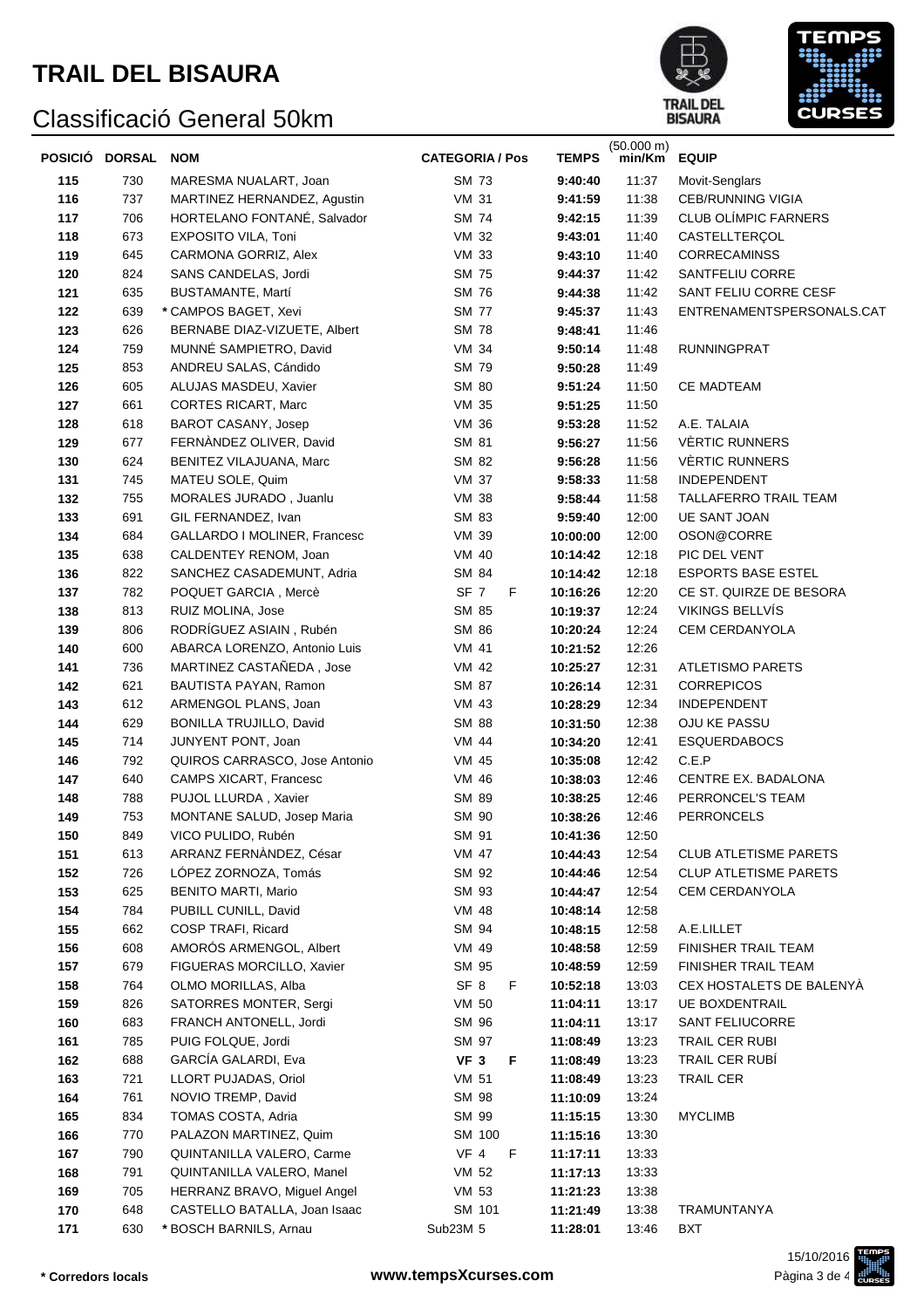



|     | POSICIÓ DORSAL | <b>NOM</b>                     | <b>CATEGORIA / Pos</b> | <b>TEMPS</b> | $(50.000 \text{ m})$<br>min/Km | <b>EQUIP</b>                 |
|-----|----------------|--------------------------------|------------------------|--------------|--------------------------------|------------------------------|
| 115 | 730            | MARESMA NUALART, Joan          | <b>SM 73</b>           | 9:40:40      | 11:37                          | Movit-Senglars               |
| 116 | 737            | MARTINEZ HERNANDEZ, Agustin    | <b>VM 31</b>           | 9:41:59      | 11:38                          | <b>CEB/RUNNING VIGIA</b>     |
| 117 | 706            | HORTELANO FONTANÉ, Salvador    | <b>SM 74</b>           | 9:42:15      | 11:39                          | <b>CLUB OLÍMPIC FARNERS</b>  |
| 118 | 673            | EXPOSITO VILA, Toni            | VM 32                  | 9:43:01      | 11:40                          | CASTELLTERÇOL                |
| 119 | 645            | CARMONA GORRIZ, Alex           | <b>VM 33</b>           | 9:43:10      | 11:40                          | <b>CORRECAMINSS</b>          |
| 120 | 824            | SANS CANDELAS, Jordi           | <b>SM 75</b>           | 9:44:37      | 11:42                          | SANTFELIU CORRE              |
| 121 | 635            | BUSTAMANTE, Martí              | <b>SM 76</b>           | 9:44:38      | 11:42                          | SANT FELIU CORRE CESF        |
| 122 | 639            | * CAMPOS BAGET, Xevi           | <b>SM 77</b>           | 9:45:37      | 11:43                          | ENTRENAMENTSPERSONALS.CAT    |
| 123 | 626            | BERNABE DIAZ-VIZUETE, Albert   | <b>SM 78</b>           | 9:48:41      | 11:46                          |                              |
| 124 | 759            | MUNNÉ SAMPIETRO, David         | <b>VM 34</b>           | 9:50:14      | 11:48                          | <b>RUNNINGPRAT</b>           |
| 125 | 853            | ANDREU SALAS, Cándido          | SM 79                  | 9:50:28      | 11:49                          |                              |
| 126 | 605            | ALUJAS MASDEU, Xavier          | <b>SM 80</b>           | 9:51:24      | 11:50                          | CE MADTEAM                   |
| 127 | 661            | <b>CORTES RICART, Marc</b>     | <b>VM 35</b>           | 9:51:25      | 11:50                          |                              |
| 128 | 618            | BAROT CASANY, Josep            | VM 36                  | 9:53:28      | 11:52                          | A.E. TALAIA                  |
| 129 | 677            | FERNANDEZ OLIVER, David        | SM 81                  | 9:56:27      | 11:56                          | <b>VÈRTIC RUNNERS</b>        |
| 130 | 624            | BENITEZ VILAJUANA, Marc        | SM 82                  | 9:56:28      | 11:56                          | <b>VÈRTIC RUNNERS</b>        |
| 131 | 745            | MATEU SOLE, Quim               | <b>VM 37</b>           | 9:58:33      | 11:58                          | <b>INDEPENDENT</b>           |
| 132 | 755            | MORALES JURADO, Juanlu         | <b>VM 38</b>           | 9:58:44      | 11:58                          | TALLAFERRO TRAIL TEAM        |
| 133 | 691            | GIL FERNANDEZ, Ivan            | SM 83                  | 9:59:40      | 12:00                          | <b>UE SANT JOAN</b>          |
| 134 | 684            | GALLARDO I MOLINER, Francesc   | VM 39                  | 10:00:00     | 12:00                          | OSON@CORRE                   |
| 135 | 638            | CALDENTEY RENOM, Joan          | VM 40                  | 10:14:42     | 12:18                          | PIC DEL VENT                 |
| 136 | 822            | SANCHEZ CASADEMUNT, Adria      | SM 84                  | 10:14:42     | 12:18                          | <b>ESPORTS BASE ESTEL</b>    |
| 137 | 782            | POQUET GARCIA, Mercè           | SF 7<br>F.             | 10:16:26     | 12:20                          | CE ST. QUIRZE DE BESORA      |
| 138 | 813            | RUIZ MOLINA, Jose              | SM 85                  | 10:19:37     | 12:24                          | VIKINGS BELLVÍS              |
| 139 | 806            | RODRÍGUEZ ASIAIN, Rubén        | SM 86                  | 10:20:24     | 12:24                          | CEM CERDANYOLA               |
| 140 | 600            | ABARCA LORENZO, Antonio Luis   | <b>VM 41</b>           | 10:21:52     | 12:26                          |                              |
| 141 | 736            | MARTINEZ CASTAÑEDA, Jose       | VM 42                  | 10:25:27     | 12:31                          | <b>ATLETISMO PARETS</b>      |
| 142 | 621            | BAUTISTA PAYAN, Ramon          | SM 87                  | 10:26:14     | 12:31                          | <b>CORREPICOS</b>            |
| 143 | 612            | ARMENGOL PLANS, Joan           | VM 43                  | 10:28:29     | 12:34                          | <b>INDEPENDENT</b>           |
| 144 | 629            | <b>BONILLA TRUJILLO, David</b> | <b>SM 88</b>           | 10:31:50     | 12:38                          | OJU KE PASSU                 |
| 145 | 714            | JUNYENT PONT, Joan             | VM 44                  | 10:34:20     | 12:41                          | <b>ESQUERDABOCS</b>          |
| 146 | 792            | QUIROS CARRASCO, Jose Antonio  | VM 45                  | 10:35:08     | 12:42                          | C.E.P                        |
| 147 | 640            | <b>CAMPS XICART, Francesc</b>  | VM 46                  | 10:38:03     | 12:46                          | CENTRE EX. BADALONA          |
| 148 | 788            | PUJOL LLURDA, Xavier           | SM 89                  | 10:38:25     | 12:46                          | PERRONCEL'S TEAM             |
| 149 | 753            | MONTANE SALUD, Josep Maria     | SM 90                  | 10:38:26     | 12:46                          | <b>PERRONCELS</b>            |
| 150 | 849            | VICO PULIDO, Rubén             | SM 91                  | 10:41:36     | 12:50                          |                              |
| 151 | 613            | ARRANZ FERNÀNDEZ, César        | VM 47                  | 10:44:43     | 12:54                          | <b>CLUB ATLETISME PARETS</b> |
| 152 | 726            | LÓPEZ ZORNOZA, Tomás           | SM 92                  | 10:44:46     | 12:54                          | <b>CLUP ATLETISME PARETS</b> |
| 153 | 625            | <b>BENITO MARTI, Mario</b>     | SM 93                  | 10:44:47     | 12:54                          | CEM CERDANYOLA               |
| 154 | 784            | PUBILL CUNILL, David           | VM 48                  | 10:48:14     | 12:58                          |                              |
| 155 | 662            | COSP TRAFI, Ricard             | SM 94                  | 10:48:15     | 12:58                          | A.E.LILLET                   |
| 156 | 608            | AMORÓS ARMENGOL, Albert        | VM 49                  | 10:48:58     | 12:59                          | <b>FINISHER TRAIL TEAM</b>   |
| 157 | 679            | FIGUERAS MORCILLO, Xavier      | SM 95                  | 10:48:59     | 12:59                          | <b>FINISHER TRAIL TEAM</b>   |
| 158 | 764            | OLMO MORILLAS, Alba            | SF 8<br>F              | 10:52:18     | 13:03                          | CEX HOSTALETS DE BALENYÀ     |
| 159 | 826            | SATORRES MONTER, Sergi         | <b>VM 50</b>           | 11:04:11     | 13:17                          | <b>UE BOXDENTRAIL</b>        |
| 160 | 683            | FRANCH ANTONELL, Jordi         | SM 96                  | 11:04:11     | 13:17                          | SANT FELIUCORRE              |
| 161 | 785            | PUIG FOLQUE, Jordi             | SM 97                  | 11:08:49     | 13:23                          | TRAIL CER RUBI               |
| 162 | 688            | GARCÍA GALARDI, Eva            | VF <sub>3</sub><br>F.  | 11:08:49     | 13:23                          | TRAIL CER RUBI               |
| 163 | 721            | LLORT PUJADAS, Oriol           | <b>VM 51</b>           | 11:08:49     | 13:23                          | TRAIL CER                    |
| 164 | 761            | NOVIO TREMP, David             | SM 98                  | 11:10:09     | 13:24                          |                              |
| 165 | 834            | TOMAS COSTA, Adria             | SM 99                  | 11:15:15     | 13:30                          | <b>MYCLIMB</b>               |
| 166 | 770            | PALAZON MARTINEZ, Quim         | SM 100                 | 11:15:16     | 13:30                          |                              |
| 167 | 790            | QUINTANILLA VALERO, Carme      | VF 4  F                | 11:17:11     | 13:33                          |                              |
| 168 | 791            | QUINTANILLA VALERO, Manel      | VM 52                  | 11:17:13     | 13:33                          |                              |
| 169 | 705            | HERRANZ BRAVO, Miguel Angel    | VM 53                  | 11:21:23     | 13:38                          |                              |
| 170 | 648            | CASTELLO BATALLA, Joan Isaac   | SM 101                 | 11:21:49     | 13:38                          | TRAMUNTANYA                  |
| 171 | 630            | * BOSCH BARNILS, Arnau         | Sub23M 5               | 11:28:01     | 13:46                          | BXT                          |